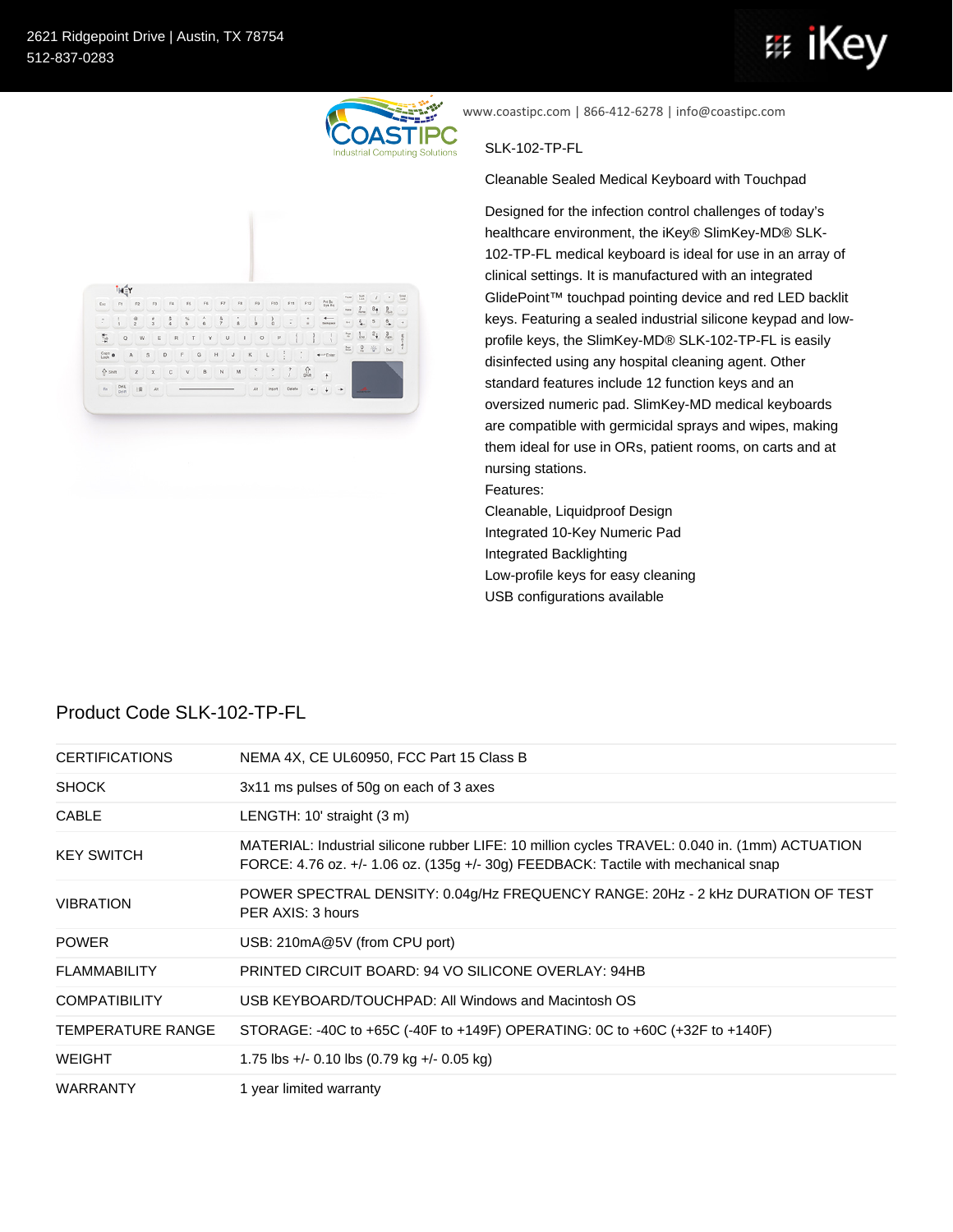

www.coastipc.com | 866-412-6278 | info@coastipc.com

## SLK-102-TP-FL

Cleanable Sealed Medical Keyboard with Touchpad

Designed for the infection control challenges of today's healthcare environment, the iKey® SlimKey-MD® SLK-102-TP-FL medical keyboard is ideal for use in an array of clinical settings. It is manufactured with an integrated GlidePoint™ touchpad pointing device and red LED backlit keys. Featuring a sealed industrial silicone keypad and lowprofile keys, the SlimKey-MD® SLK-102-TP-FL is easily disinfected using any hospital cleaning agent. Other standard features include 12 function keys and an oversized numeric pad. SlimKey-MD medical keyboards are compatible with germicidal sprays and wipes, making them ideal for use in ORs, patient rooms, on carts and at nursing stations.

Features:

Cleanable, Liquidproof Design Integrated 10-Key Numeric Pad Integrated Backlighting Low-profile keys for easy cleaning USB configurations available

| <b>CERTIFICATIONS</b>    | NEMA 4X, CE UL60950, FCC Part 15 Class B                                                                                                                                             |
|--------------------------|--------------------------------------------------------------------------------------------------------------------------------------------------------------------------------------|
| <b>SHOCK</b>             | 3x11 ms pulses of 50g on each of 3 axes                                                                                                                                              |
| <b>CABLE</b>             | LENGTH: 10' straight (3 m)                                                                                                                                                           |
| <b>KEY SWITCH</b>        | MATERIAL: Industrial silicone rubber LIFE: 10 million cycles TRAVEL: 0.040 in. (1mm) ACTUATION<br>FORCE: 4.76 oz. +/- 1.06 oz. (135g +/- 30g) FEEDBACK: Tactile with mechanical snap |
| <b>VIBRATION</b>         | POWER SPECTRAL DENSITY: 0.04g/Hz FREQUENCY RANGE: 20Hz - 2 kHz DURATION OF TEST<br>PER AXIS: 3 hours                                                                                 |
| <b>POWER</b>             | USB: 210mA@5V (from CPU port)                                                                                                                                                        |
| <b>FLAMMABILITY</b>      | PRINTED CIRCUIT BOARD: 94 VO SILICONE OVERLAY: 94HB                                                                                                                                  |
| <b>COMPATIBILITY</b>     | USB KEYBOARD/TOUCHPAD: All Windows and Macintosh OS                                                                                                                                  |
| <b>TEMPERATURE RANGE</b> | STORAGE: -40C to +65C (-40F to +149F) OPERATING: 0C to +60C (+32F to +140F)                                                                                                          |
| <b>WEIGHT</b>            | 1.75 lbs +/- 0.10 lbs $(0.79 \text{ kg} +$ /- 0.05 kg)                                                                                                                               |
| <b>WARRANTY</b>          | 1 year limited warranty                                                                                                                                                              |

## Product Code SLK-102-TP-FL